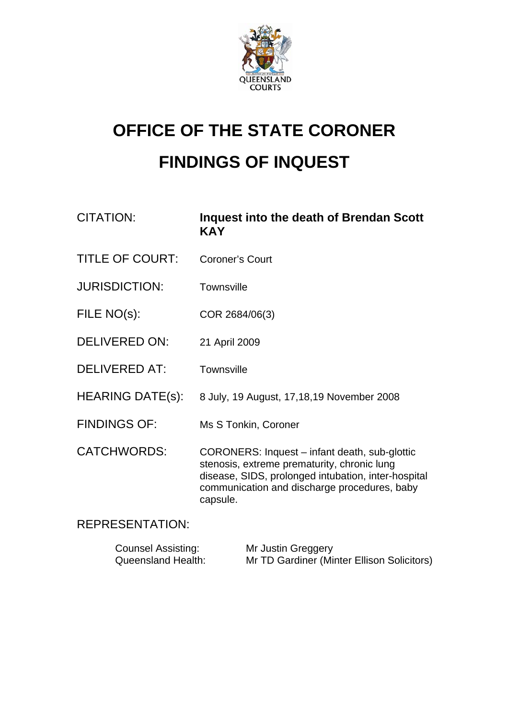

# **OFFICE OF THE STATE CORONER FINDINGS OF INQUEST**

| CITATION:               | Inquest into the death of Brendan Scott<br><b>KAY</b>                                                                                                                                                           |
|-------------------------|-----------------------------------------------------------------------------------------------------------------------------------------------------------------------------------------------------------------|
| <b>TITLE OF COURT:</b>  | <b>Coroner's Court</b>                                                                                                                                                                                          |
| <b>JURISDICTION:</b>    | <b>Townsville</b>                                                                                                                                                                                               |
| FILE NO(s):             | COR 2684/06(3)                                                                                                                                                                                                  |
| <b>DELIVERED ON:</b>    | 21 April 2009                                                                                                                                                                                                   |
| <b>DELIVERED AT:</b>    | <b>Townsville</b>                                                                                                                                                                                               |
| <b>HEARING DATE(s):</b> | 8 July, 19 August, 17, 18, 19 November 2008                                                                                                                                                                     |
| <b>FINDINGS OF:</b>     | Ms S Tonkin, Coroner                                                                                                                                                                                            |
| <b>CATCHWORDS:</b>      | CORONERS: Inquest – infant death, sub-glottic<br>stenosis, extreme prematurity, chronic lung<br>disease, SIDS, prolonged intubation, inter-hospital<br>communication and discharge procedures, baby<br>capsule. |

## REPRESENTATION:

| <b>Counsel Assisting:</b> | Mr Justin Greggery                         |
|---------------------------|--------------------------------------------|
| <b>Queensland Health:</b> | Mr TD Gardiner (Minter Ellison Solicitors) |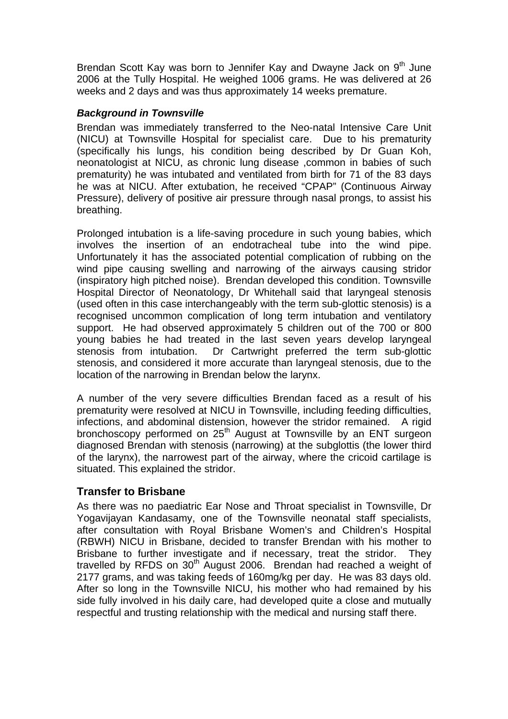Brendan Scott Kay was born to Jennifer Kay and Dwayne Jack on 9<sup>th</sup> June 2006 at the Tully Hospital. He weighed 1006 grams. He was delivered at 26 weeks and 2 days and was thus approximately 14 weeks premature.

## *Background in Townsville*

Brendan was immediately transferred to the Neo-natal Intensive Care Unit (NICU) at Townsville Hospital for specialist care. Due to his prematurity (specifically his lungs, his condition being described by Dr Guan Koh, neonatologist at NICU, as chronic lung disease ,common in babies of such prematurity) he was intubated and ventilated from birth for 71 of the 83 days he was at NICU. After extubation, he received "CPAP" (Continuous Airway Pressure), delivery of positive air pressure through nasal prongs, to assist his breathing.

Prolonged intubation is a life-saving procedure in such young babies, which involves the insertion of an endotracheal tube into the wind pipe. Unfortunately it has the associated potential complication of rubbing on the wind pipe causing swelling and narrowing of the airways causing stridor (inspiratory high pitched noise). Brendan developed this condition. Townsville Hospital Director of Neonatology, Dr Whitehall said that laryngeal stenosis (used often in this case interchangeably with the term sub-glottic stenosis) is a recognised uncommon complication of long term intubation and ventilatory support. He had observed approximately 5 children out of the 700 or 800 young babies he had treated in the last seven years develop laryngeal stenosis from intubation. Dr Cartwright preferred the term sub-glottic stenosis, and considered it more accurate than laryngeal stenosis, due to the location of the narrowing in Brendan below the larynx.

A number of the very severe difficulties Brendan faced as a result of his prematurity were resolved at NICU in Townsville, including feeding difficulties, infections, and abdominal distension, however the stridor remained. A rigid bronchoscopy performed on  $25<sup>th</sup>$  August at Townsville by an ENT surgeon diagnosed Brendan with stenosis (narrowing) at the subglottis (the lower third of the larynx), the narrowest part of the airway, where the cricoid cartilage is situated. This explained the stridor.

## **Transfer to Brisbane**

As there was no paediatric Ear Nose and Throat specialist in Townsville, Dr Yogavijayan Kandasamy, one of the Townsville neonatal staff specialists, after consultation with Royal Brisbane Women's and Children's Hospital (RBWH) NICU in Brisbane, decided to transfer Brendan with his mother to Brisbane to further investigate and if necessary, treat the stridor. They travelled by RFDS on  $30<sup>th</sup>$  August 2006. Brendan had reached a weight of 2177 grams, and was taking feeds of 160mg/kg per day. He was 83 days old. After so long in the Townsville NICU, his mother who had remained by his side fully involved in his daily care, had developed quite a close and mutually respectful and trusting relationship with the medical and nursing staff there.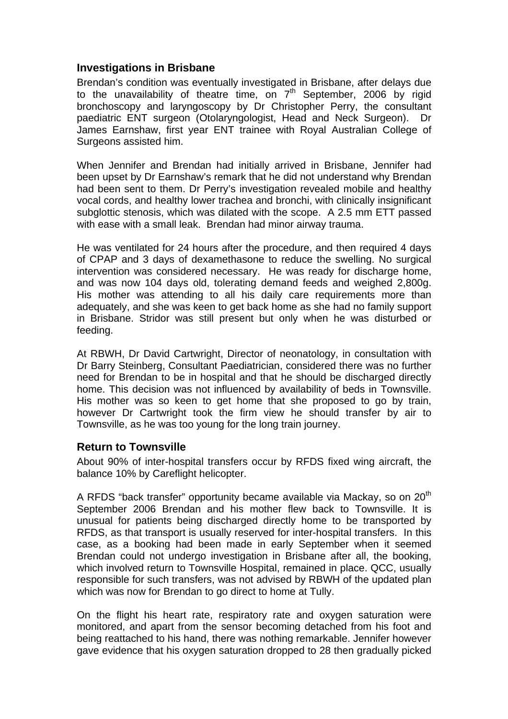## **Investigations in Brisbane**

Brendan's condition was eventually investigated in Brisbane, after delays due to the unavailability of theatre time, on  $7<sup>th</sup>$  September, 2006 by rigid bronchoscopy and laryngoscopy by Dr Christopher Perry, the consultant paediatric ENT surgeon (Otolaryngologist, Head and Neck Surgeon). Dr James Earnshaw, first year ENT trainee with Royal Australian College of Surgeons assisted him.

When Jennifer and Brendan had initially arrived in Brisbane, Jennifer had been upset by Dr Earnshaw's remark that he did not understand why Brendan had been sent to them. Dr Perry's investigation revealed mobile and healthy vocal cords, and healthy lower trachea and bronchi, with clinically insignificant subglottic stenosis, which was dilated with the scope. A 2.5 mm ETT passed with ease with a small leak. Brendan had minor airway trauma.

He was ventilated for 24 hours after the procedure, and then required 4 days of CPAP and 3 days of dexamethasone to reduce the swelling. No surgical intervention was considered necessary. He was ready for discharge home, and was now 104 days old, tolerating demand feeds and weighed 2,800g. His mother was attending to all his daily care requirements more than adequately, and she was keen to get back home as she had no family support in Brisbane. Stridor was still present but only when he was disturbed or feeding.

At RBWH, Dr David Cartwright, Director of neonatology, in consultation with Dr Barry Steinberg, Consultant Paediatrician, considered there was no further need for Brendan to be in hospital and that he should be discharged directly home. This decision was not influenced by availability of beds in Townsville. His mother was so keen to get home that she proposed to go by train, however Dr Cartwright took the firm view he should transfer by air to Townsville, as he was too young for the long train journey.

#### **Return to Townsville**

About 90% of inter-hospital transfers occur by RFDS fixed wing aircraft, the balance 10% by Careflight helicopter.

A RFDS "back transfer" opportunity became available via Mackay, so on  $20<sup>th</sup>$ September 2006 Brendan and his mother flew back to Townsville. It is unusual for patients being discharged directly home to be transported by RFDS, as that transport is usually reserved for inter-hospital transfers. In this case, as a booking had been made in early September when it seemed Brendan could not undergo investigation in Brisbane after all, the booking, which involved return to Townsville Hospital, remained in place, QCC, usually responsible for such transfers, was not advised by RBWH of the updated plan which was now for Brendan to go direct to home at Tully.

On the flight his heart rate, respiratory rate and oxygen saturation were monitored, and apart from the sensor becoming detached from his foot and being reattached to his hand, there was nothing remarkable. Jennifer however gave evidence that his oxygen saturation dropped to 28 then gradually picked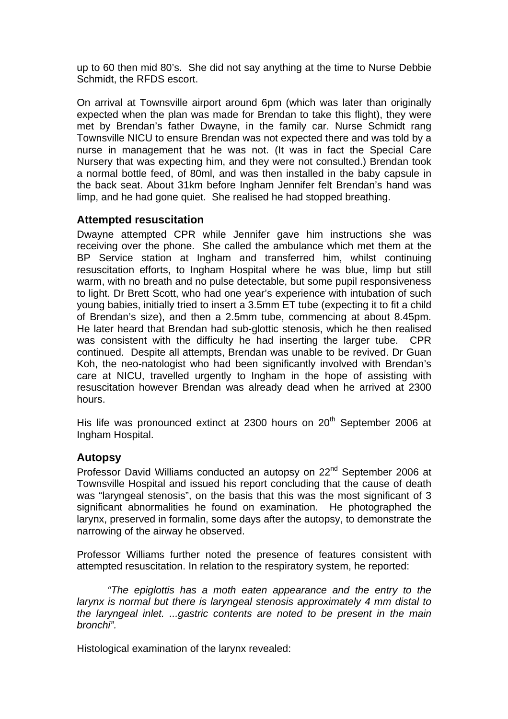up to 60 then mid 80's. She did not say anything at the time to Nurse Debbie Schmidt, the RFDS escort.

On arrival at Townsville airport around 6pm (which was later than originally expected when the plan was made for Brendan to take this flight), they were met by Brendan's father Dwayne, in the family car. Nurse Schmidt rang Townsville NICU to ensure Brendan was not expected there and was told by a nurse in management that he was not. (It was in fact the Special Care Nursery that was expecting him, and they were not consulted.) Brendan took a normal bottle feed, of 80ml, and was then installed in the baby capsule in the back seat. About 31km before Ingham Jennifer felt Brendan's hand was limp, and he had gone quiet. She realised he had stopped breathing.

## **Attempted resuscitation**

Dwayne attempted CPR while Jennifer gave him instructions she was receiving over the phone. She called the ambulance which met them at the BP Service station at Ingham and transferred him, whilst continuing resuscitation efforts, to Ingham Hospital where he was blue, limp but still warm, with no breath and no pulse detectable, but some pupil responsiveness to light. Dr Brett Scott, who had one year's experience with intubation of such young babies, initially tried to insert a 3.5mm ET tube (expecting it to fit a child of Brendan's size), and then a 2.5mm tube, commencing at about 8.45pm. He later heard that Brendan had sub-glottic stenosis, which he then realised was consistent with the difficulty he had inserting the larger tube. CPR continued. Despite all attempts, Brendan was unable to be revived. Dr Guan Koh, the neo-natologist who had been significantly involved with Brendan's care at NICU, travelled urgently to Ingham in the hope of assisting with resuscitation however Brendan was already dead when he arrived at 2300 hours.

His life was pronounced extinct at 2300 hours on 20<sup>th</sup> September 2006 at Ingham Hospital.

## **Autopsy**

Professor David Williams conducted an autopsy on 22<sup>nd</sup> September 2006 at Townsville Hospital and issued his report concluding that the cause of death was "laryngeal stenosis", on the basis that this was the most significant of 3 significant abnormalities he found on examination. He photographed the larynx, preserved in formalin, some days after the autopsy, to demonstrate the narrowing of the airway he observed.

Professor Williams further noted the presence of features consistent with attempted resuscitation. In relation to the respiratory system, he reported:

*"The epiglottis has a moth eaten appearance and the entry to the larynx is normal but there is laryngeal stenosis approximately 4 mm distal to the laryngeal inlet. ...gastric contents are noted to be present in the main bronchi".*

Histological examination of the larynx revealed: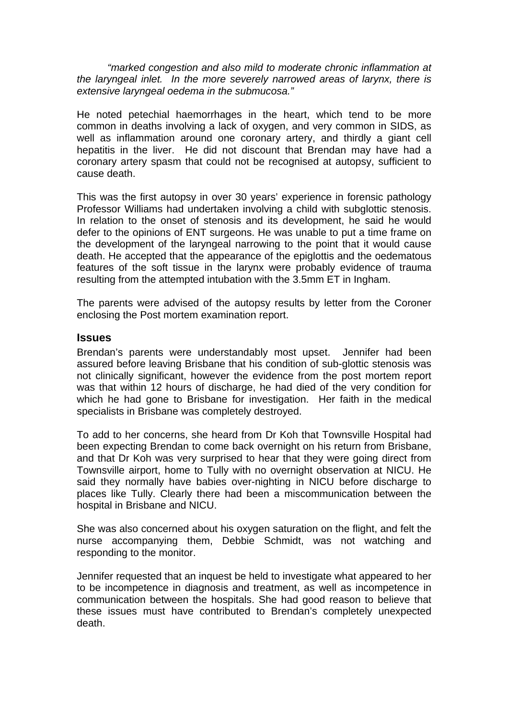*"marked congestion and also mild to moderate chronic inflammation at the laryngeal inlet. In the more severely narrowed areas of larynx, there is extensive laryngeal oedema in the submucosa."* 

He noted petechial haemorrhages in the heart, which tend to be more common in deaths involving a lack of oxygen, and very common in SIDS, as well as inflammation around one coronary artery, and thirdly a giant cell hepatitis in the liver. He did not discount that Brendan may have had a coronary artery spasm that could not be recognised at autopsy, sufficient to cause death.

This was the first autopsy in over 30 years' experience in forensic pathology Professor Williams had undertaken involving a child with subglottic stenosis. In relation to the onset of stenosis and its development, he said he would defer to the opinions of ENT surgeons. He was unable to put a time frame on the development of the laryngeal narrowing to the point that it would cause death. He accepted that the appearance of the epiglottis and the oedematous features of the soft tissue in the larynx were probably evidence of trauma resulting from the attempted intubation with the 3.5mm ET in Ingham.

The parents were advised of the autopsy results by letter from the Coroner enclosing the Post mortem examination report.

#### **Issues**

Brendan's parents were understandably most upset. Jennifer had been assured before leaving Brisbane that his condition of sub-glottic stenosis was not clinically significant, however the evidence from the post mortem report was that within 12 hours of discharge, he had died of the very condition for which he had gone to Brisbane for investigation. Her faith in the medical specialists in Brisbane was completely destroyed.

To add to her concerns, she heard from Dr Koh that Townsville Hospital had been expecting Brendan to come back overnight on his return from Brisbane, and that Dr Koh was very surprised to hear that they were going direct from Townsville airport, home to Tully with no overnight observation at NICU. He said they normally have babies over-nighting in NICU before discharge to places like Tully. Clearly there had been a miscommunication between the hospital in Brisbane and NICU.

She was also concerned about his oxygen saturation on the flight, and felt the nurse accompanying them, Debbie Schmidt, was not watching and responding to the monitor.

Jennifer requested that an inquest be held to investigate what appeared to her to be incompetence in diagnosis and treatment, as well as incompetence in communication between the hospitals. She had good reason to believe that these issues must have contributed to Brendan's completely unexpected death.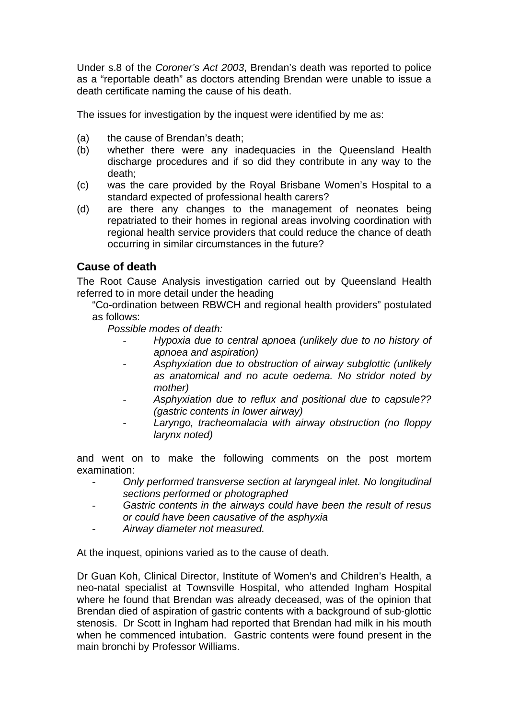Under s.8 of the *Coroner's Act 2003*, Brendan's death was reported to police as a "reportable death" as doctors attending Brendan were unable to issue a death certificate naming the cause of his death.

The issues for investigation by the inquest were identified by me as:

- (a) the cause of Brendan's death;
- (b) whether there were any inadequacies in the Queensland Health discharge procedures and if so did they contribute in any way to the death;
- (c) was the care provided by the Royal Brisbane Women's Hospital to a standard expected of professional health carers?
- (d) are there any changes to the management of neonates being repatriated to their homes in regional areas involving coordination with regional health service providers that could reduce the chance of death occurring in similar circumstances in the future?

## **Cause of death**

The Root Cause Analysis investigation carried out by Queensland Health referred to in more detail under the heading

"Co-ordination between RBWCH and regional health providers" postulated as follows:

*Possible modes of death:* 

- *Hypoxia due to central apnoea (unlikely due to no history of apnoea and aspiration)*
- *Asphyxiation due to obstruction of airway subglottic (unlikely as anatomical and no acute oedema. No stridor noted by mother)*
- *Asphyxiation due to reflux and positional due to capsule?? (gastric contents in lower airway)*
- *Laryngo, tracheomalacia with airway obstruction (no floppy larynx noted)*

and went on to make the following comments on the post mortem examination:

- *Only performed transverse section at laryngeal inlet. No longitudinal sections performed or photographed*
- *Gastric contents in the airways could have been the result of resus or could have been causative of the asphyxia*
- *Airway diameter not measured.*

At the inquest, opinions varied as to the cause of death.

Dr Guan Koh, Clinical Director, Institute of Women's and Children's Health, a neo-natal specialist at Townsville Hospital, who attended Ingham Hospital where he found that Brendan was already deceased, was of the opinion that Brendan died of aspiration of gastric contents with a background of sub-glottic stenosis. Dr Scott in Ingham had reported that Brendan had milk in his mouth when he commenced intubation. Gastric contents were found present in the main bronchi by Professor Williams.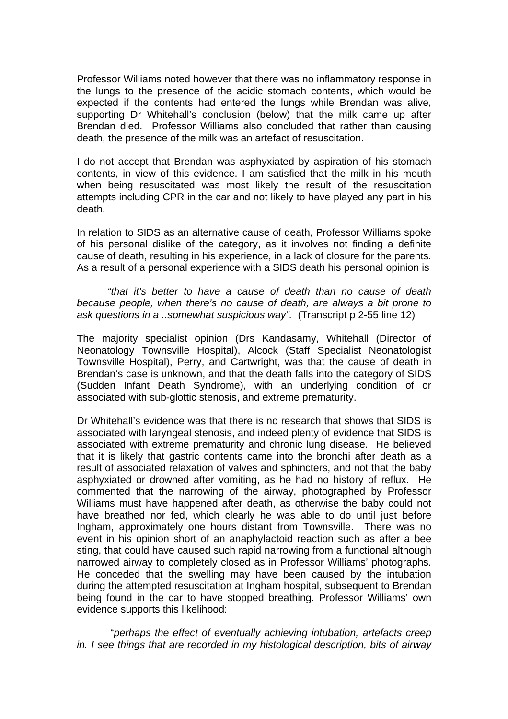Professor Williams noted however that there was no inflammatory response in the lungs to the presence of the acidic stomach contents, which would be expected if the contents had entered the lungs while Brendan was alive, supporting Dr Whitehall's conclusion (below) that the milk came up after Brendan died. Professor Williams also concluded that rather than causing death, the presence of the milk was an artefact of resuscitation.

I do not accept that Brendan was asphyxiated by aspiration of his stomach contents, in view of this evidence. I am satisfied that the milk in his mouth when being resuscitated was most likely the result of the resuscitation attempts including CPR in the car and not likely to have played any part in his death.

In relation to SIDS as an alternative cause of death, Professor Williams spoke of his personal dislike of the category, as it involves not finding a definite cause of death, resulting in his experience, in a lack of closure for the parents. As a result of a personal experience with a SIDS death his personal opinion is

*"that it's better to have a cause of death than no cause of death because people, when there's no cause of death, are always a bit prone to ask questions in a ..somewhat suspicious way".* (Transcript p 2-55 line 12)

The majority specialist opinion (Drs Kandasamy, Whitehall (Director of Neonatology Townsville Hospital), Alcock (Staff Specialist Neonatologist Townsville Hospital), Perry, and Cartwright, was that the cause of death in Brendan's case is unknown, and that the death falls into the category of SIDS (Sudden Infant Death Syndrome), with an underlying condition of or associated with sub-glottic stenosis, and extreme prematurity.

Dr Whitehall's evidence was that there is no research that shows that SIDS is associated with laryngeal stenosis, and indeed plenty of evidence that SIDS is associated with extreme prematurity and chronic lung disease. He believed that it is likely that gastric contents came into the bronchi after death as a result of associated relaxation of valves and sphincters, and not that the baby asphyxiated or drowned after vomiting, as he had no history of reflux. He commented that the narrowing of the airway, photographed by Professor Williams must have happened after death, as otherwise the baby could not have breathed nor fed, which clearly he was able to do until just before Ingham, approximately one hours distant from Townsville. There was no event in his opinion short of an anaphylactoid reaction such as after a bee sting, that could have caused such rapid narrowing from a functional although narrowed airway to completely closed as in Professor Williams' photographs. He conceded that the swelling may have been caused by the intubation during the attempted resuscitation at Ingham hospital, subsequent to Brendan being found in the car to have stopped breathing. Professor Williams' own evidence supports this likelihood:

 "*perhaps the effect of eventually achieving intubation, artefacts creep in. I see things that are recorded in my histological description, bits of airway*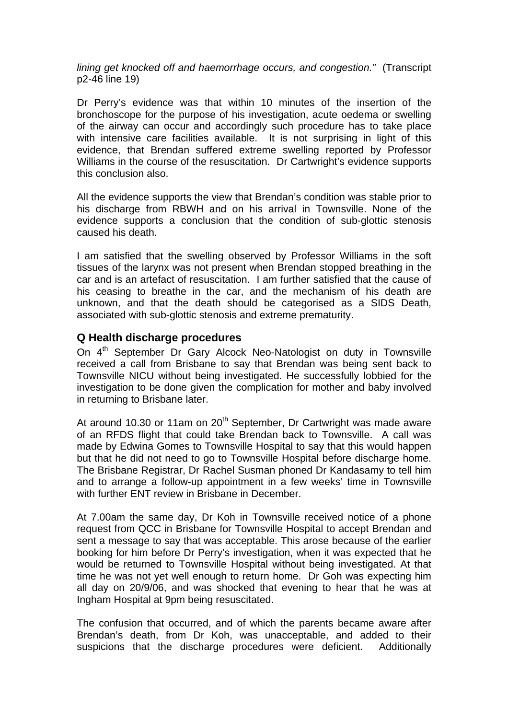*lining get knocked off and haemorrhage occurs, and congestion."* (Transcript p2-46 line 19)

Dr Perry's evidence was that within 10 minutes of the insertion of the bronchoscope for the purpose of his investigation, acute oedema or swelling of the airway can occur and accordingly such procedure has to take place with intensive care facilities available. It is not surprising in light of this evidence, that Brendan suffered extreme swelling reported by Professor Williams in the course of the resuscitation. Dr Cartwright's evidence supports this conclusion also.

All the evidence supports the view that Brendan's condition was stable prior to his discharge from RBWH and on his arrival in Townsville. None of the evidence supports a conclusion that the condition of sub-glottic stenosis caused his death.

I am satisfied that the swelling observed by Professor Williams in the soft tissues of the larynx was not present when Brendan stopped breathing in the car and is an artefact of resuscitation. I am further satisfied that the cause of his ceasing to breathe in the car, and the mechanism of his death are unknown, and that the death should be categorised as a SIDS Death, associated with sub-glottic stenosis and extreme prematurity.

## **Q Health discharge procedures**

On 4<sup>th</sup> September Dr Gary Alcock Neo-Natologist on duty in Townsville received a call from Brisbane to say that Brendan was being sent back to Townsville NICU without being investigated. He successfully lobbied for the investigation to be done given the complication for mother and baby involved in returning to Brisbane later.

At around 10.30 or 11am on 20<sup>th</sup> September, Dr Cartwright was made aware of an RFDS flight that could take Brendan back to Townsville. A call was made by Edwina Gomes to Townsville Hospital to say that this would happen but that he did not need to go to Townsville Hospital before discharge home. The Brisbane Registrar, Dr Rachel Susman phoned Dr Kandasamy to tell him and to arrange a follow-up appointment in a few weeks' time in Townsville with further FNT review in Brishane in December

At 7.00am the same day, Dr Koh in Townsville received notice of a phone request from QCC in Brisbane for Townsville Hospital to accept Brendan and sent a message to say that was acceptable. This arose because of the earlier booking for him before Dr Perry's investigation, when it was expected that he would be returned to Townsville Hospital without being investigated. At that time he was not yet well enough to return home. Dr Goh was expecting him all day on 20/9/06, and was shocked that evening to hear that he was at Ingham Hospital at 9pm being resuscitated.

The confusion that occurred, and of which the parents became aware after Brendan's death, from Dr Koh, was unacceptable, and added to their suspicions that the discharge procedures were deficient. Additionally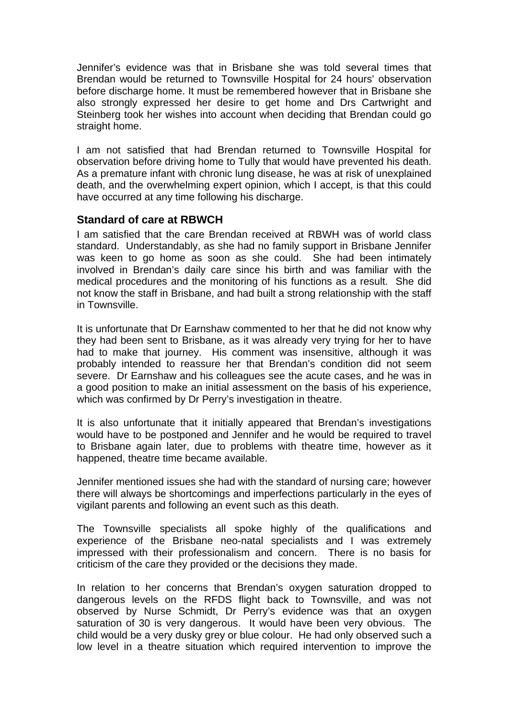Jennifer's evidence was that in Brisbane she was told several times that Brendan would be returned to Townsville Hospital for 24 hours' observation before discharge home. It must be remembered however that in Brisbane she also strongly expressed her desire to get home and Drs Cartwright and Steinberg took her wishes into account when deciding that Brendan could go straight home.

I am not satisfied that had Brendan returned to Townsville Hospital for observation before driving home to Tully that would have prevented his death. As a premature infant with chronic lung disease, he was at risk of unexplained death, and the overwhelming expert opinion, which I accept, is that this could have occurred at any time following his discharge.

## **Standard of care at RBWCH**

I am satisfied that the care Brendan received at RBWH was of world class standard. Understandably, as she had no family support in Brisbane Jennifer was keen to go home as soon as she could. She had been intimately involved in Brendan's daily care since his birth and was familiar with the medical procedures and the monitoring of his functions as a result. She did not know the staff in Brisbane, and had built a strong relationship with the staff in Townsville.

It is unfortunate that Dr Earnshaw commented to her that he did not know why they had been sent to Brisbane, as it was already very trying for her to have had to make that journey. His comment was insensitive, although it was probably intended to reassure her that Brendan's condition did not seem severe. Dr Earnshaw and his colleagues see the acute cases, and he was in a good position to make an initial assessment on the basis of his experience, which was confirmed by Dr Perry's investigation in theatre.

It is also unfortunate that it initially appeared that Brendan's investigations would have to be postponed and Jennifer and he would be required to travel to Brisbane again later, due to problems with theatre time, however as it happened, theatre time became available.

Jennifer mentioned issues she had with the standard of nursing care; however there will always be shortcomings and imperfections particularly in the eyes of vigilant parents and following an event such as this death.

The Townsville specialists all spoke highly of the qualifications and experience of the Brisbane neo-natal specialists and I was extremely impressed with their professionalism and concern. There is no basis for criticism of the care they provided or the decisions they made.

In relation to her concerns that Brendan's oxygen saturation dropped to dangerous levels on the RFDS flight back to Townsville, and was not observed by Nurse Schmidt, Dr Perry's evidence was that an oxygen saturation of 30 is very dangerous. It would have been very obvious. The child would be a very dusky grey or blue colour. He had only observed such a low level in a theatre situation which required intervention to improve the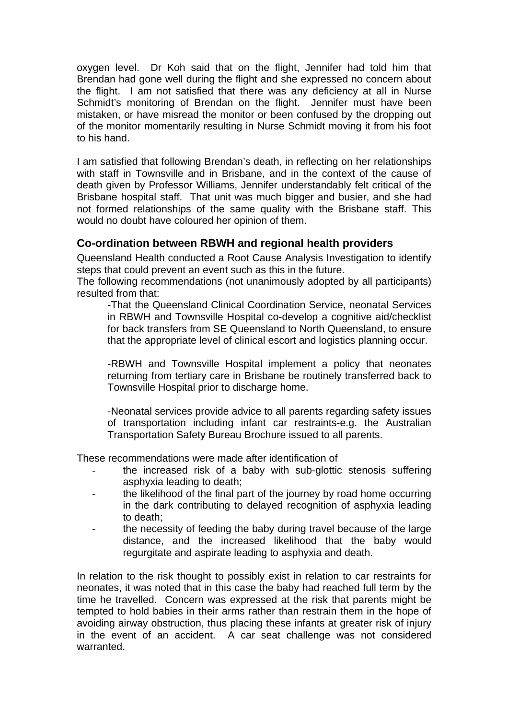oxygen level. Dr Koh said that on the flight, Jennifer had told him that Brendan had gone well during the flight and she expressed no concern about the flight. I am not satisfied that there was any deficiency at all in Nurse Schmidt's monitoring of Brendan on the flight. Jennifer must have been mistaken, or have misread the monitor or been confused by the dropping out of the monitor momentarily resulting in Nurse Schmidt moving it from his foot to his hand.

I am satisfied that following Brendan's death, in reflecting on her relationships with staff in Townsville and in Brisbane, and in the context of the cause of death given by Professor Williams, Jennifer understandably felt critical of the Brisbane hospital staff. That unit was much bigger and busier, and she had not formed relationships of the same quality with the Brisbane staff. This would no doubt have coloured her opinion of them.

## **Co-ordination between RBWH and regional health providers**

Queensland Health conducted a Root Cause Analysis Investigation to identify steps that could prevent an event such as this in the future.

The following recommendations (not unanimously adopted by all participants) resulted from that:

-That the Queensland Clinical Coordination Service, neonatal Services in RBWH and Townsville Hospital co-develop a cognitive aid/checklist for back transfers from SE Queensland to North Queensland, to ensure that the appropriate level of clinical escort and logistics planning occur.

-RBWH and Townsville Hospital implement a policy that neonates returning from tertiary care in Brisbane be routinely transferred back to Townsville Hospital prior to discharge home.

-Neonatal services provide advice to all parents regarding safety issues of transportation including infant car restraints-e.g. the Australian Transportation Safety Bureau Brochure issued to all parents.

These recommendations were made after identification of

- the increased risk of a baby with sub-glottic stenosis suffering asphyxia leading to death;
- the likelihood of the final part of the journey by road home occurring in the dark contributing to delayed recognition of asphyxia leading to death;
- the necessity of feeding the baby during travel because of the large distance, and the increased likelihood that the baby would regurgitate and aspirate leading to asphyxia and death.

In relation to the risk thought to possibly exist in relation to car restraints for neonates, it was noted that in this case the baby had reached full term by the time he travelled. Concern was expressed at the risk that parents might be tempted to hold babies in their arms rather than restrain them in the hope of avoiding airway obstruction, thus placing these infants at greater risk of injury in the event of an accident. A car seat challenge was not considered warranted.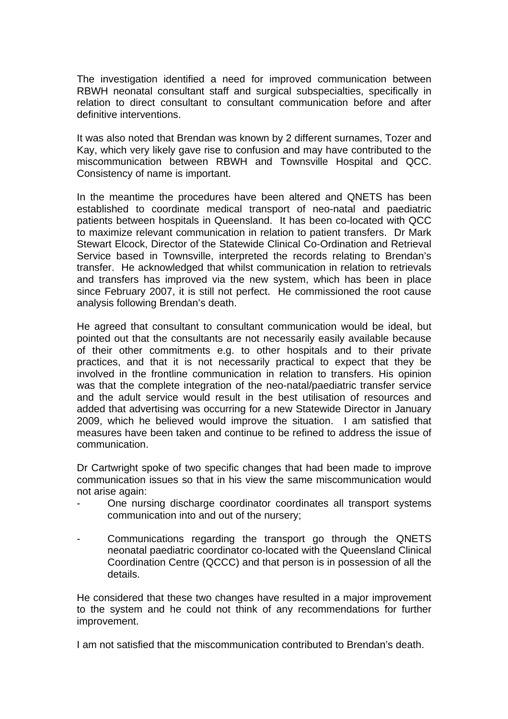The investigation identified a need for improved communication between RBWH neonatal consultant staff and surgical subspecialties, specifically in relation to direct consultant to consultant communication before and after definitive interventions.

It was also noted that Brendan was known by 2 different surnames, Tozer and Kay, which very likely gave rise to confusion and may have contributed to the miscommunication between RBWH and Townsville Hospital and QCC. Consistency of name is important.

In the meantime the procedures have been altered and QNETS has been established to coordinate medical transport of neo-natal and paediatric patients between hospitals in Queensland. It has been co-located with QCC to maximize relevant communication in relation to patient transfers. Dr Mark Stewart Elcock, Director of the Statewide Clinical Co-Ordination and Retrieval Service based in Townsville, interpreted the records relating to Brendan's transfer. He acknowledged that whilst communication in relation to retrievals and transfers has improved via the new system, which has been in place since February 2007, it is still not perfect. He commissioned the root cause analysis following Brendan's death.

He agreed that consultant to consultant communication would be ideal, but pointed out that the consultants are not necessarily easily available because of their other commitments e.g. to other hospitals and to their private practices, and that it is not necessarily practical to expect that they be involved in the frontline communication in relation to transfers. His opinion was that the complete integration of the neo-natal/paediatric transfer service and the adult service would result in the best utilisation of resources and added that advertising was occurring for a new Statewide Director in January 2009, which he believed would improve the situation. I am satisfied that measures have been taken and continue to be refined to address the issue of communication.

Dr Cartwright spoke of two specific changes that had been made to improve communication issues so that in his view the same miscommunication would not arise again:

- One nursing discharge coordinator coordinates all transport systems communication into and out of the nursery;
- Communications regarding the transport go through the QNETS neonatal paediatric coordinator co-located with the Queensland Clinical Coordination Centre (QCCC) and that person is in possession of all the details.

He considered that these two changes have resulted in a major improvement to the system and he could not think of any recommendations for further improvement.

I am not satisfied that the miscommunication contributed to Brendan's death.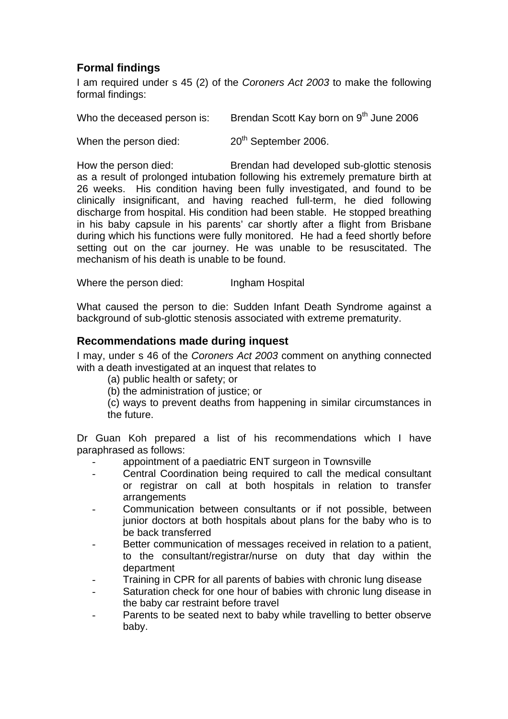## **Formal findings**

I am required under s 45 (2) of the *Coroners Act 2003* to make the following formal findings:

| Who the deceased person is: | Brendan Scott Kay born on 9 <sup>th</sup> June 2006 |
|-----------------------------|-----------------------------------------------------|
| When the person died:       | 20 <sup>th</sup> September 2006.                    |

How the person died: Brendan had developed sub-glottic stenosis as a result of prolonged intubation following his extremely premature birth at 26 weeks. His condition having been fully investigated, and found to be clinically insignificant, and having reached full-term, he died following discharge from hospital. His condition had been stable. He stopped breathing in his baby capsule in his parents' car shortly after a flight from Brisbane during which his functions were fully monitored. He had a feed shortly before setting out on the car journey. He was unable to be resuscitated. The mechanism of his death is unable to be found.

Where the person died: Ingham Hospital

What caused the person to die: Sudden Infant Death Syndrome against a background of sub-glottic stenosis associated with extreme prematurity.

## **Recommendations made during inquest**

I may, under s 46 of the *Coroners Act 2003* comment on anything connected with a death investigated at an inquest that relates to

(a) public health or safety; or

(b) the administration of justice; or

(c) ways to prevent deaths from happening in similar circumstances in the future.

Dr Guan Koh prepared a list of his recommendations which I have paraphrased as follows:

- appointment of a paediatric ENT surgeon in Townsville
- Central Coordination being required to call the medical consultant or registrar on call at both hospitals in relation to transfer arrangements
- Communication between consultants or if not possible, between junior doctors at both hospitals about plans for the baby who is to be back transferred
- Better communication of messages received in relation to a patient, to the consultant/registrar/nurse on duty that day within the department
- Training in CPR for all parents of babies with chronic lung disease
- Saturation check for one hour of babies with chronic lung disease in the baby car restraint before travel
- Parents to be seated next to baby while travelling to better observe baby.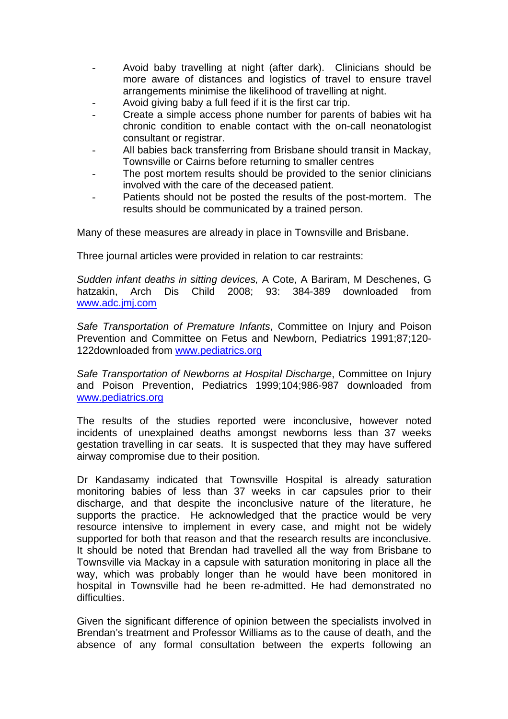- Avoid baby travelling at night (after dark). Clinicians should be more aware of distances and logistics of travel to ensure travel arrangements minimise the likelihood of travelling at night.
- Avoid giving baby a full feed if it is the first car trip.
- Create a simple access phone number for parents of babies wit ha chronic condition to enable contact with the on-call neonatologist consultant or registrar.
- All babies back transferring from Brisbane should transit in Mackay, Townsville or Cairns before returning to smaller centres
- The post mortem results should be provided to the senior clinicians involved with the care of the deceased patient.
- Patients should not be posted the results of the post-mortem. The results should be communicated by a trained person.

Many of these measures are already in place in Townsville and Brisbane.

Three journal articles were provided in relation to car restraints:

*Sudden infant deaths in sitting devices,* A Cote, A Bariram, M Deschenes, G hatzakin, Arch Dis Child 2008; 93: 384-389 downloaded from [www.adc.jmj.com](http://www.adc.jmj.com/)

*Safe Transportation of Premature Infants*, Committee on Injury and Poison Prevention and Committee on Fetus and Newborn, Pediatrics 1991;87;120- 122downloaded from [www.pediatrics.org](http://www.pediatrics.org/)

*Safe Transportation of Newborns at Hospital Discharge*, Committee on Injury and Poison Prevention, Pediatrics 1999;104;986-987 downloaded from [www.pediatrics.org](http://www.pediatrics.org/)

The results of the studies reported were inconclusive, however noted incidents of unexplained deaths amongst newborns less than 37 weeks gestation travelling in car seats. It is suspected that they may have suffered airway compromise due to their position.

Dr Kandasamy indicated that Townsville Hospital is already saturation monitoring babies of less than 37 weeks in car capsules prior to their discharge, and that despite the inconclusive nature of the literature, he supports the practice. He acknowledged that the practice would be very resource intensive to implement in every case, and might not be widely supported for both that reason and that the research results are inconclusive. It should be noted that Brendan had travelled all the way from Brisbane to Townsville via Mackay in a capsule with saturation monitoring in place all the way, which was probably longer than he would have been monitored in hospital in Townsville had he been re-admitted. He had demonstrated no difficulties.

Given the significant difference of opinion between the specialists involved in Brendan's treatment and Professor Williams as to the cause of death, and the absence of any formal consultation between the experts following an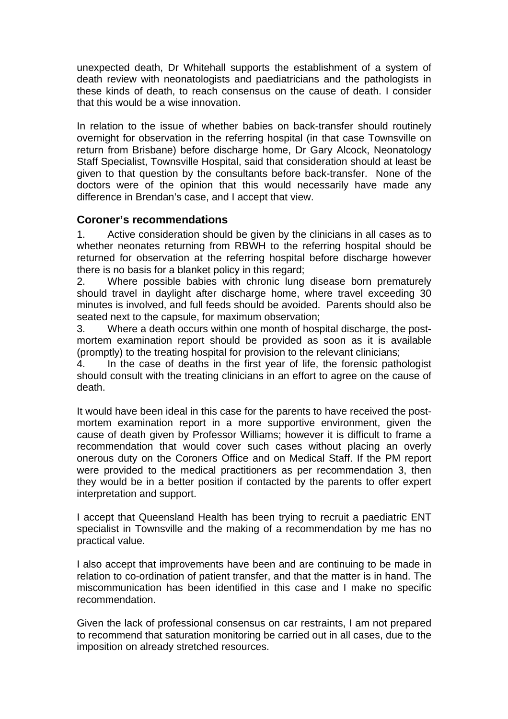unexpected death, Dr Whitehall supports the establishment of a system of death review with neonatologists and paediatricians and the pathologists in these kinds of death, to reach consensus on the cause of death. I consider that this would be a wise innovation.

In relation to the issue of whether babies on back-transfer should routinely overnight for observation in the referring hospital (in that case Townsville on return from Brisbane) before discharge home, Dr Gary Alcock, Neonatology Staff Specialist, Townsville Hospital, said that consideration should at least be given to that question by the consultants before back-transfer. None of the doctors were of the opinion that this would necessarily have made any difference in Brendan's case, and I accept that view.

## **Coroner's recommendations**

1. Active consideration should be given by the clinicians in all cases as to whether neonates returning from RBWH to the referring hospital should be returned for observation at the referring hospital before discharge however there is no basis for a blanket policy in this regard;

2. Where possible babies with chronic lung disease born prematurely should travel in daylight after discharge home, where travel exceeding 30 minutes is involved, and full feeds should be avoided. Parents should also be seated next to the capsule, for maximum observation;

3. Where a death occurs within one month of hospital discharge, the postmortem examination report should be provided as soon as it is available (promptly) to the treating hospital for provision to the relevant clinicians;

4. In the case of deaths in the first year of life, the forensic pathologist should consult with the treating clinicians in an effort to agree on the cause of death.

It would have been ideal in this case for the parents to have received the postmortem examination report in a more supportive environment, given the cause of death given by Professor Williams; however it is difficult to frame a recommendation that would cover such cases without placing an overly onerous duty on the Coroners Office and on Medical Staff. If the PM report were provided to the medical practitioners as per recommendation 3, then they would be in a better position if contacted by the parents to offer expert interpretation and support.

I accept that Queensland Health has been trying to recruit a paediatric ENT specialist in Townsville and the making of a recommendation by me has no practical value.

I also accept that improvements have been and are continuing to be made in relation to co-ordination of patient transfer, and that the matter is in hand. The miscommunication has been identified in this case and I make no specific recommendation.

Given the lack of professional consensus on car restraints, I am not prepared to recommend that saturation monitoring be carried out in all cases, due to the imposition on already stretched resources.